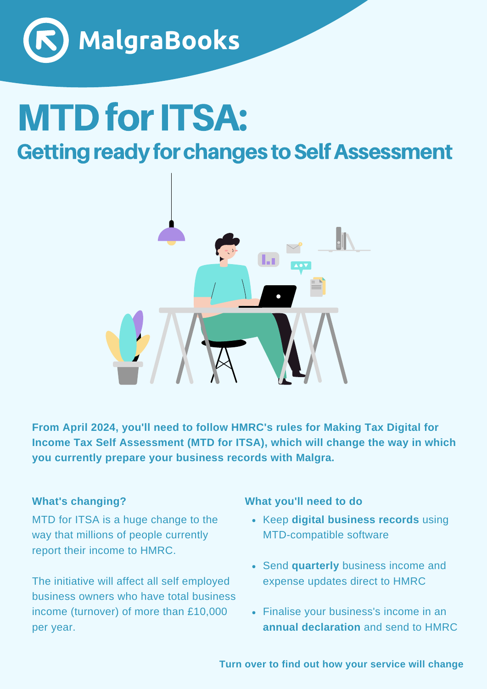

# **MTD for ITSA:**

# **Getting ready for changes to Self Assessment**



**From April 2024, you'll need to follow HMRC's rules for Making Tax Digital for Income Tax Self Assessment (MTD for ITSA), which will change the way in which you currently prepare your business records with Malgra.**

#### **What's changing?**

MTD for ITSA is a huge change to the way that millions of people currently report their income to HMRC.

The initiative will affect all self employed business owners who have total business income (turnover) of more than £10,000 per year.

#### **What you'll need to do**

- Keep **digital business records** using MTD-compatible software
- Send **quarterly** business income and expense updates direct to HMRC
- Finalise your business's income in an **annual declaration** and send to HMRC

**Turn over to find out how your service will change**